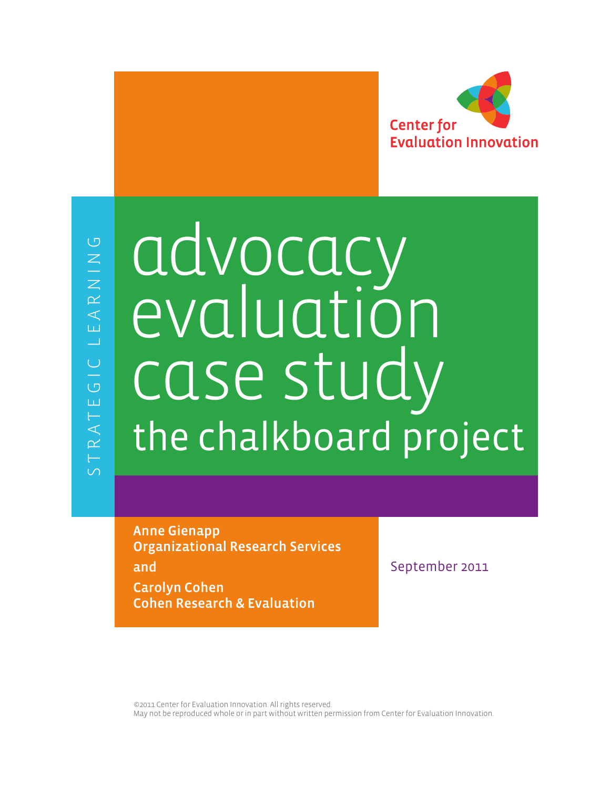

# advocacy evaluation the chalkboard project case study

Anne Gienapp Organizational Research Services and Carolyn Cohen

Cohen Research & Evaluation

September 2011

©2011 Center for Evaluation Innovation. All rights reserved. May not be reproduced whole or in part without written permission from Center for Evaluation Innovation.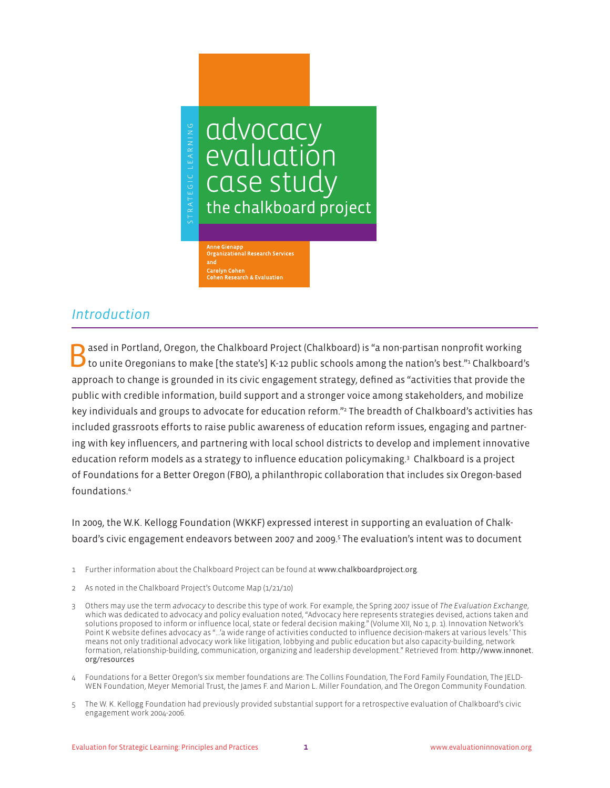

# *Introduction*

ased in Portland, Oregon, the Chalkboard Project (Chalkboard) is "a non-partisan nonprofit working to unite Oregonians to make [the state's] K-12 public schools among the nation's best."<del>'</del> Chalkboard's approach to change is grounded in its civic engagement strategy, defined as "activities that provide the public with credible information, build support and a stronger voice among stakeholders, and mobilize key individuals and groups to advocate for education reform."2 The breadth of Chalkboard's activities has included grassroots efforts to raise public awareness of education reform issues, engaging and partnering with key influencers, and partnering with local school districts to develop and implement innovative education reform models as a strategy to influence education policymaking.3 Chalkboard is a project of Foundations for a Better Oregon (FBO), a philanthropic collaboration that includes six Oregon-based foundations.4

In 2009, the W.K. Kellogg Foundation (WKKF) expressed interest in supporting an evaluation of Chalkboard's civic engagement endeavors between 2007 and 2009.5 The evaluation's intent was to document

- 1 Further information about the Chalkboard Project can be found at www.chalkboardproject.org.
- 2 As noted in the Chalkboard Project's Outcome Map (1/21/10)
- 3 Others may use the term *advocacy* to describe this type of work. For example, the Spring 2007 issue of *The Evaluation Exchange*, which was dedicated to advocacy and policy evaluation noted, "Advocacy here represents strategies devised, actions taken and solutions proposed to inform or influence local, state or federal decision making." (Volume XII, No 1, p. 1). Innovation Network's Point K website defines advocacy as "…'a wide range of activities conducted to influence decision-makers at various levels.' This means not only traditional advocacy work like litigation, lobbying and public education but also capacity-building, network formation, relationship-building, communication, organizing and leadership development." Retrieved from: http://www.innonet. org/resources
- 4 Foundations for a Better Oregon's six member foundations are: The Collins Foundation, The Ford Family Foundation, The JELD-WEN Foundation, Meyer Memorial Trust, the James F. and Marion L. Miller Foundation, and The Oregon Community Foundation.
- 5 The W. K. Kellogg Foundation had previously provided substantial support for a retrospective evaluation of Chalkboard's civic engagement work 2004-2006.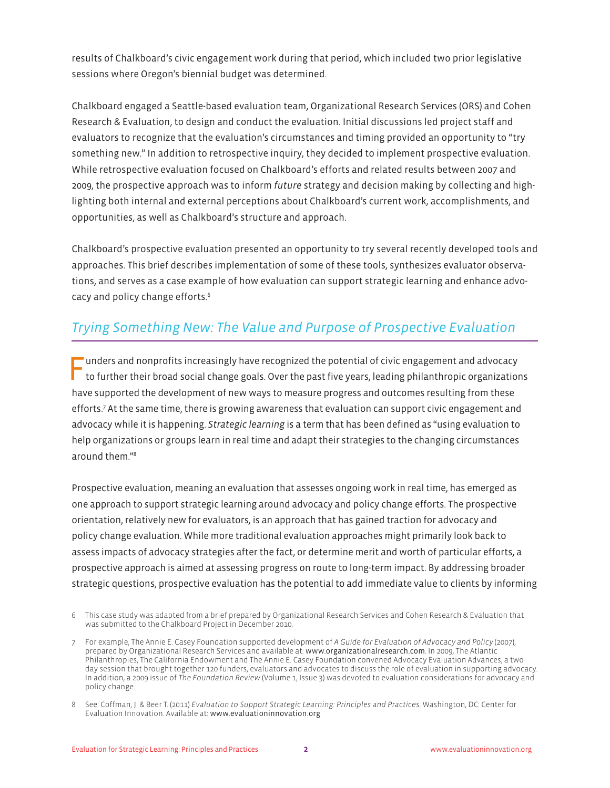results of Chalkboard's civic engagement work during that period, which included two prior legislative sessions where Oregon's biennial budget was determined.

Chalkboard engaged a Seattle-based evaluation team, Organizational Research Services (ORS) and Cohen Research & Evaluation, to design and conduct the evaluation. Initial discussions led project staff and evaluators to recognize that the evaluation's circumstances and timing provided an opportunity to "try something new." In addition to retrospective inquiry, they decided to implement prospective evaluation. While retrospective evaluation focused on Chalkboard's efforts and related results between 2007 and 2009, the prospective approach was to inform *future* strategy and decision making by collecting and highlighting both internal and external perceptions about Chalkboard's current work, accomplishments, and opportunities, as well as Chalkboard's structure and approach.

Chalkboard's prospective evaluation presented an opportunity to try several recently developed tools and approaches. This brief describes implementation of some of these tools, synthesizes evaluator observations, and serves as a case example of how evaluation can support strategic learning and enhance advocacy and policy change efforts.6

# *Trying Something New: The Value and Purpose of Prospective Evaluation*

Funders and nonprofits increasingly have recognized the potential of civic engagement and advocacy to further their broad social change goals. Over the past five years, leading philanthropic organizations have supported the development of new ways to measure progress and outcomes resulting from these efforts.7 At the same time, there is growing awareness that evaluation can support civic engagement and advocacy while it is happening. *Strategic learning* is a term that has been defined as "using evaluation to help organizations or groups learn in real time and adapt their strategies to the changing circumstances around them."8

Prospective evaluation, meaning an evaluation that assesses ongoing work in real time, has emerged as one approach to support strategic learning around advocacy and policy change efforts. The prospective orientation, relatively new for evaluators, is an approach that has gained traction for advocacy and policy change evaluation. While more traditional evaluation approaches might primarily look back to assess impacts of advocacy strategies after the fact, or determine merit and worth of particular efforts, a prospective approach is aimed at assessing progress on route to long-term impact. By addressing broader strategic questions, prospective evaluation has the potential to add immediate value to clients by informing

<sup>6</sup> This case study was adapted from a brief prepared by Organizational Research Services and Cohen Research & Evaluation that was submitted to the Chalkboard Project in December 2010.

<sup>7</sup> For example, The Annie E. Casey Foundation supported development of *A Guide for Evaluation of Advocacy and Policy* (2007), prepared by Organizational Research Services and available at: www.organizationalresearch.com. In 2009, The Atlantic Philanthropies, The California Endowment and The Annie E. Casey Foundation convened Advocacy Evaluation Advances, a twoday session that brought together 120 funders, evaluators and advocates to discuss the role of evaluation in supporting advocacy. In addition, a 2009 issue of *The Foundation Review* (Volume 1, Issue 3) was devoted to evaluation considerations for advocacy and policy change.

<sup>8</sup> See: Coffman, J. & Beer T. (2011) *Evaluation to Support Strategic Learning: Principles and Practices*. Washington, DC: Center for Evaluation Innovation. Available at: www.evaluationinnovation.org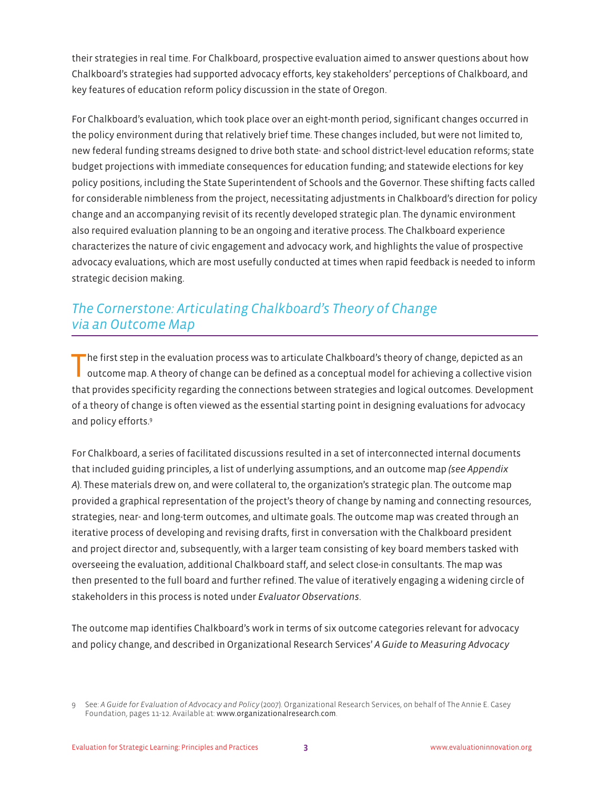their strategies in real time. For Chalkboard, prospective evaluation aimed to answer questions about how Chalkboard's strategies had supported advocacy efforts, key stakeholders' perceptions of Chalkboard, and key features of education reform policy discussion in the state of Oregon.

For Chalkboard's evaluation, which took place over an eight-month period, significant changes occurred in the policy environment during that relatively brief time. These changes included, but were not limited to, new federal funding streams designed to drive both state- and school district-level education reforms; state budget projections with immediate consequences for education funding; and statewide elections for key policy positions, including the State Superintendent of Schools and the Governor. These shifting facts called for considerable nimbleness from the project, necessitating adjustments in Chalkboard's direction for policy change and an accompanying revisit of its recently developed strategic plan. The dynamic environment also required evaluation planning to be an ongoing and iterative process. The Chalkboard experience characterizes the nature of civic engagement and advocacy work, and highlights the value of prospective advocacy evaluations, which are most usefully conducted at times when rapid feedback is needed to inform strategic decision making.

# *The Cornerstone: Articulating Chalkboard's Theory of Change via an Outcome Map*

The first step in the evaluation process was to articulate Chalkboard's theory of change, depicted as an outcome map. A theory of change can be defined as a conceptual model for achieving a collective vision that provides specificity regarding the connections between strategies and logical outcomes. Development of a theory of change is often viewed as the essential starting point in designing evaluations for advocacy and policy efforts.<sup>9</sup>

For Chalkboard, a series of facilitated discussions resulted in a set of interconnected internal documents that included guiding principles, a list of underlying assumptions, and an outcome map *(see Appendix A*). These materials drew on, and were collateral to, the organization's strategic plan. The outcome map provided a graphical representation of the project's theory of change by naming and connecting resources, strategies, near- and long-term outcomes, and ultimate goals. The outcome map was created through an iterative process of developing and revising drafts, first in conversation with the Chalkboard president and project director and, subsequently, with a larger team consisting of key board members tasked with overseeing the evaluation, additional Chalkboard staff, and select close-in consultants. The map was then presented to the full board and further refined. The value of iteratively engaging a widening circle of stakeholders in this process is noted under *Evaluator Observations*.

The outcome map identifies Chalkboard's work in terms of six outcome categories relevant for advocacy and policy change, and described in Organizational Research Services' *A Guide to Measuring Advocacy* 

<sup>9</sup> See: *A Guide for Evaluation of Advocacy and Policy* (2007). Organizational Research Services, on behalf of The Annie E. Casey Foundation, pages 11-12. Available at: www.organizationalresearch.com.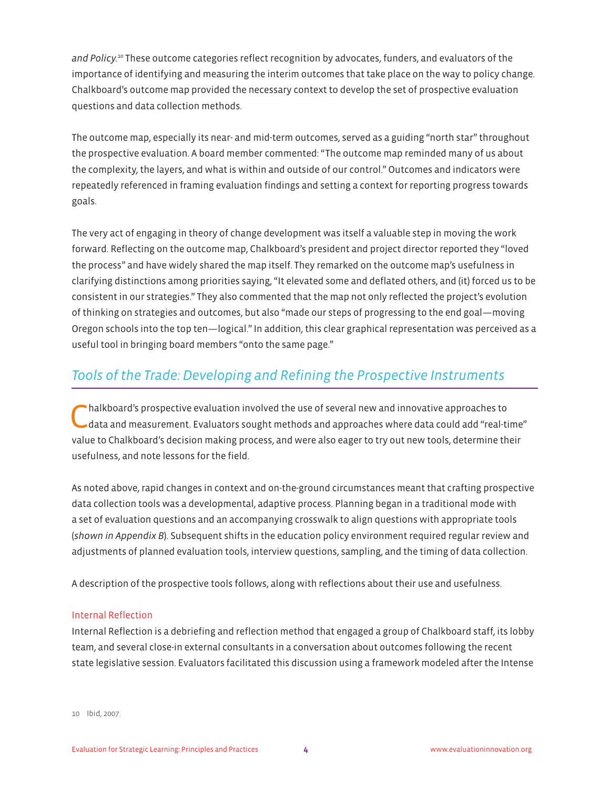*and Policy.*10 These outcome categories reflect recognition by advocates, funders, and evaluators of the importance of identifying and measuring the interim outcomes that take place on the way to policy change. Chalkboard's outcome map provided the necessary context to develop the set of prospective evaluation questions and data collection methods.

The outcome map, especially its near- and mid-term outcomes, served as a guiding "north star" throughout the prospective evaluation. A board member commented: "The outcome map reminded many of us about the complexity, the layers, and what is within and outside of our control." Outcomes and indicators were repeatedly referenced in framing evaluation findings and setting a context for reporting progress towards goals.

The very act of engaging in theory of change development was itself a valuable step in moving the work forward. Reflecting on the outcome map, Chalkboard's president and project director reported they "loved the process" and have widely shared the map itself. They remarked on the outcome map's usefulness in clarifying distinctions among priorities saying, "It elevated some and deflated others, and (it) forced us to be consistent in our strategies." They also commented that the map not only reflected the project's evolution of thinking on strategies and outcomes, but also "made our steps of progressing to the end goal—moving Oregon schools into the top ten—logical." In addition, this clear graphical representation was perceived as a useful tool in bringing board members "onto the same page."

## *Tools of the Trade: Developing and Refining the Prospective Instruments*

Chalkboard's prospective evaluation involved the use of several new and innovative approaches to data and measurement. Evaluators sought methods and approaches where data could add "real-time" value to Chalkboard's decision making process, and were also eager to try out new tools, determine their usefulness, and note lessons for the field.

As noted above, rapid changes in context and on-the-ground circumstances meant that crafting prospective data collection tools was a developmental, adaptive process. Planning began in a traditional mode with a set of evaluation questions and an accompanying crosswalk to align questions with appropriate tools (*shown in Appendix B*). Subsequent shifts in the education policy environment required regular review and adjustments of planned evaluation tools, interview questions, sampling, and the timing of data collection.

A description of the prospective tools follows, along with reflections about their use and usefulness.

## Internal Reflection

Internal Reflection is a debriefing and reflection method that engaged a group of Chalkboard staff, its lobby team, and several close-in external consultants in a conversation about outcomes following the recent state legislative session. Evaluators facilitated this discussion using a framework modeled after the Intense

10 Ibid, 2007.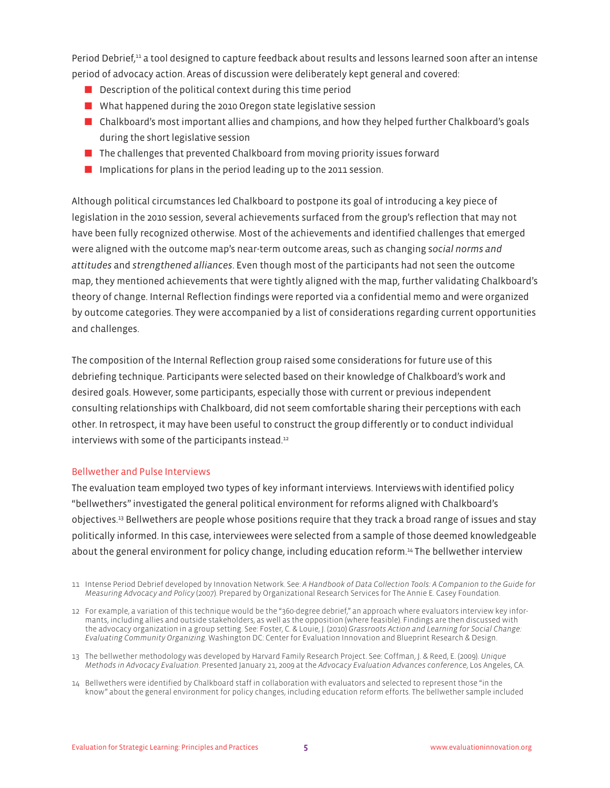Period Debrief,11 a tool designed to capture feedback about results and lessons learned soon after an intense period of advocacy action. Areas of discussion were deliberately kept general and covered:

- $\blacksquare$  Description of the political context during this time period
- $\blacksquare$  What happened during the 2010 Oregon state legislative session
- $\blacksquare$  Chalkboard's most important allies and champions, and how they helped further Chalkboard's goals during the short legislative session
- The challenges that prevented Chalkboard from moving priority issues forward
- **D** Implications for plans in the period leading up to the 2011 session.

Although political circumstances led Chalkboard to postpone its goal of introducing a key piece of legislation in the 2010 session, several achievements surfaced from the group's reflection that may not have been fully recognized otherwise. Most of the achievements and identified challenges that emerged were aligned with the outcome map's near-term outcome areas, such as changing s*ocial norms and attitudes* and *strengthened alliances*. Even though most of the participants had not seen the outcome map, they mentioned achievements that were tightly aligned with the map, further validating Chalkboard's theory of change. Internal Reflection findings were reported via a confidential memo and were organized by outcome categories. They were accompanied by a list of considerations regarding current opportunities and challenges.

The composition of the Internal Reflection group raised some considerations for future use of this debriefing technique. Participants were selected based on their knowledge of Chalkboard's work and desired goals. However, some participants, especially those with current or previous independent consulting relationships with Chalkboard, did not seem comfortable sharing their perceptions with each other. In retrospect, it may have been useful to construct the group differently or to conduct individual interviews with some of the participants instead.<sup>12</sup>

#### Bellwether and Pulse Interviews

The evaluation team employed two types of key informant interviews. Interviewswith identified policy "bellwethers" investigated the general political environment for reforms aligned with Chalkboard's objectives.13 Bellwethers are people whose positions require that they track a broad range of issues and stay politically informed. In this case, interviewees were selected from a sample of those deemed knowledgeable about the general environment for policy change, including education reform.14 The bellwether interview

11 Intense Period Debrief developed by Innovation Network. See: *A Handbook of Data Collection Tools: A Companion to the Guide for Measuring Advocacy and Policy* (2007). Prepared by Organizational Research Services for The Annie E. Casey Foundation.

- 13 The bellwether methodology was developed by Harvard Family Research Project. See: Coffman, J. & Reed, E. (2009). *Unique Methods in Advocacy Evaluation*. Presented January 21, 2009 at the *Advocacy Evaluation Advances conference*, Los Angeles, CA.
- 14 Bellwethers were identified by Chalkboard staff in collaboration with evaluators and selected to represent those "in the know" about the general environment for policy changes, including education reform efforts. The bellwether sample included

<sup>12</sup> For example, a variation of this technique would be the "360-degree debrief," an approach where evaluators interview key informants, including allies and outside stakeholders, as well as the opposition (where feasible). Findings are then discussed with the advocacy organization in a group setting. See: Foster, C. & Louie, J. (2010) *Grassroots Action and Learning for Social Change: Evaluating Community Organizing*. Washington DC: Center for Evaluation Innovation and Blueprint Research & Design.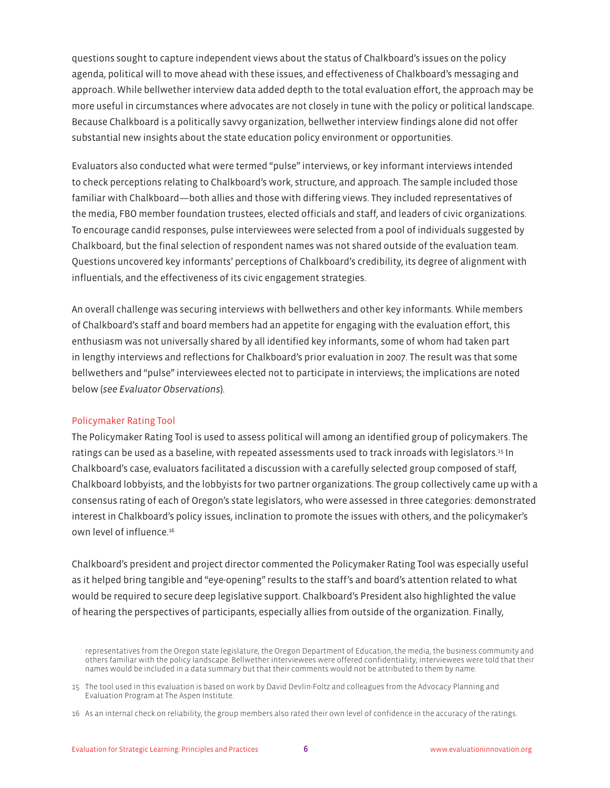questions sought to capture independent views about the status of Chalkboard's issues on the policy agenda, political will to move ahead with these issues, and effectiveness of Chalkboard's messaging and approach. While bellwether interview data added depth to the total evaluation effort, the approach may be more useful in circumstances where advocates are not closely in tune with the policy or political landscape. Because Chalkboard is a politically savvy organization, bellwether interview findings alone did not offer substantial new insights about the state education policy environment or opportunities.

Evaluators also conducted what were termed "pulse" interviews, or key informant interviews intended to check perceptions relating to Chalkboard's work, structure, and approach. The sample included those familiar with Chalkboard—both allies and those with differing views. They included representatives of the media, FBO member foundation trustees, elected officials and staff, and leaders of civic organizations. To encourage candid responses, pulse interviewees were selected from a pool of individuals suggested by Chalkboard, but the final selection of respondent names was not shared outside of the evaluation team. Questions uncovered key informants' perceptions of Chalkboard's credibility, its degree of alignment with influentials, and the effectiveness of its civic engagement strategies.

An overall challenge was securing interviews with bellwethers and other key informants. While members of Chalkboard's staff and board members had an appetite for engaging with the evaluation effort, this enthusiasm was not universally shared by all identified key informants, some of whom had taken part in lengthy interviews and reflections for Chalkboard's prior evaluation in 2007. The result was that some bellwethers and "pulse" interviewees elected not to participate in interviews; the implications are noted below (*see Evaluator Observations*).

#### Policymaker Rating Tool

The Policymaker Rating Tool is used to assess political will among an identified group of policymakers. The ratings can be used as a baseline, with repeated assessments used to track inroads with legislators.15 In Chalkboard's case, evaluators facilitated a discussion with a carefully selected group composed of staff, Chalkboard lobbyists, and the lobbyists for two partner organizations. The group collectively came up with a consensus rating of each of Oregon's state legislators, who were assessed in three categories: demonstrated interest in Chalkboard's policy issues, inclination to promote the issues with others, and the policymaker's own level of influence.<sup>16</sup>

Chalkboard's president and project director commented the Policymaker Rating Tool was especially useful as it helped bring tangible and "eye-opening" results to the staff's and board's attention related to what would be required to secure deep legislative support. Chalkboard's President also highlighted the value of hearing the perspectives of participants, especially allies from outside of the organization. Finally,

representatives from the Oregon state legislature, the Oregon Department of Education, the media, the business community and others familiar with the policy landscape. Bellwether interviewees were offered confidentiality; interviewees were told that their names would be included in a data summary but that their comments would not be attributed to them by name.

<sup>15</sup> The tool used in this evaluation is based on work by David Devlin-Foltz and colleagues from the Advocacy Planning and Evaluation Program at The Aspen Institute.

<sup>16</sup> As an internal check on reliability, the group members also rated their own level of confidence in the accuracy of the ratings.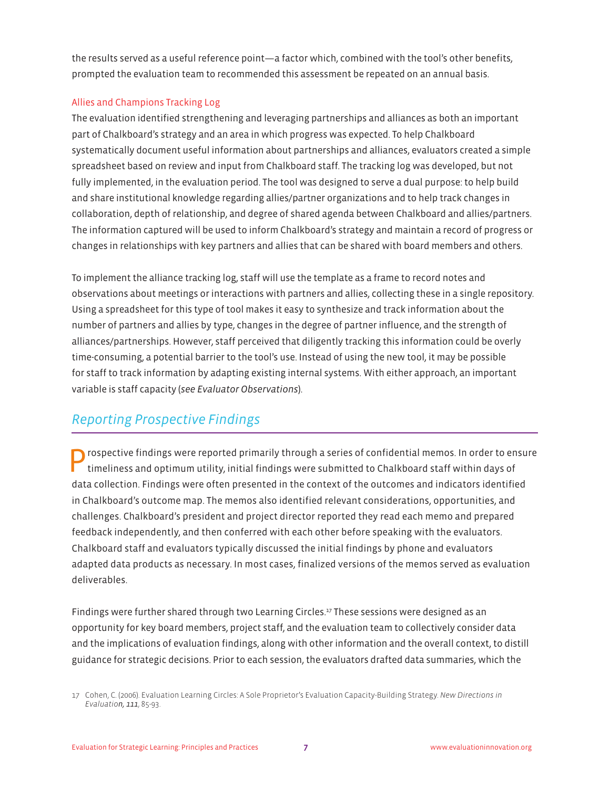the results served as a useful reference point—a factor which, combined with the tool's other benefits, prompted the evaluation team to recommended this assessment be repeated on an annual basis.

## Allies and Champions Tracking Log

The evaluation identified strengthening and leveraging partnerships and alliances as both an important part of Chalkboard's strategy and an area in which progress was expected. To help Chalkboard systematically document useful information about partnerships and alliances, evaluators created a simple spreadsheet based on review and input from Chalkboard staff. The tracking log was developed, but not fully implemented, in the evaluation period. The tool was designed to serve a dual purpose: to help build and share institutional knowledge regarding allies/partner organizations and to help track changes in collaboration, depth of relationship, and degree of shared agenda between Chalkboard and allies/partners. The information captured will be used to inform Chalkboard's strategy and maintain a record of progress or changes in relationships with key partners and allies that can be shared with board members and others.

To implement the alliance tracking log, staff will use the template as a frame to record notes and observations about meetings or interactions with partners and allies, collecting these in a single repository. Using a spreadsheet for this type of tool makes it easy to synthesize and track information about the number of partners and allies by type, changes in the degree of partner influence, and the strength of alliances/partnerships. However, staff perceived that diligently tracking this information could be overly time-consuming, a potential barrier to the tool's use. Instead of using the new tool, it may be possible for staff to track information by adapting existing internal systems. With either approach, an important variable is staff capacity (*see Evaluator Observations*).

# *Reporting Prospective Findings*

rospective findings were reported primarily through a series of confidential memos. In order to ensure timeliness and optimum utility, initial findings were submitted to Chalkboard staff within days of data collection. Findings were often presented in the context of the outcomes and indicators identified in Chalkboard's outcome map. The memos also identified relevant considerations, opportunities, and challenges. Chalkboard's president and project director reported they read each memo and prepared feedback independently, and then conferred with each other before speaking with the evaluators. Chalkboard staff and evaluators typically discussed the initial findings by phone and evaluators adapted data products as necessary. In most cases, finalized versions of the memos served as evaluation deliverables.

Findings were further shared through two Learning Circles.<sup>17</sup> These sessions were designed as an opportunity for key board members, project staff, and the evaluation team to collectively consider data and the implications of evaluation findings, along with other information and the overall context, to distill guidance for strategic decisions. Prior to each session, the evaluators drafted data summaries, which the

<sup>17</sup> Cohen, C. (2006). Evaluation Learning Circles: A Sole Proprietor's Evaluation Capacity-Building Strategy. *New Directions in Evaluation, 111*, 85-93.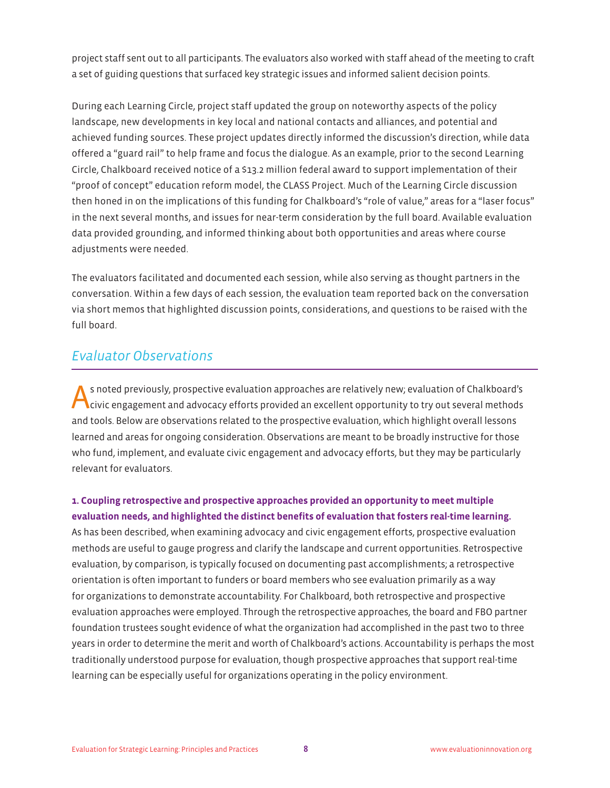project staff sent out to all participants. The evaluators also worked with staff ahead of the meeting to craft a set of guiding questions that surfaced key strategic issues and informed salient decision points.

During each Learning Circle, project staff updated the group on noteworthy aspects of the policy landscape, new developments in key local and national contacts and alliances, and potential and achieved funding sources. These project updates directly informed the discussion's direction, while data offered a "guard rail" to help frame and focus the dialogue. As an example, prior to the second Learning Circle, Chalkboard received notice of a \$13.2 million federal award to support implementation of their "proof of concept" education reform model, the CLASS Project. Much of the Learning Circle discussion then honed in on the implications of this funding for Chalkboard's "role of value," areas for a "laser focus" in the next several months, and issues for near-term consideration by the full board. Available evaluation data provided grounding, and informed thinking about both opportunities and areas where course adjustments were needed.

The evaluators facilitated and documented each session, while also serving as thought partners in the conversation. Within a few days of each session, the evaluation team reported back on the conversation via short memos that highlighted discussion points, considerations, and questions to be raised with the full board.

## *Evaluator Observations*

**A** s noted previously, prospective evaluation approaches are relatively new; evaluation of Chalkboard's civic engagement and advocacy efforts provided an excellent opportunity to try out several methods and tools. Below are observations related to the prospective evaluation, which highlight overall lessons learned and areas for ongoing consideration. Observations are meant to be broadly instructive for those who fund, implement, and evaluate civic engagement and advocacy efforts, but they may be particularly relevant for evaluators.

**1. Coupling retrospective and prospective approaches provided an opportunity to meet multiple evaluation needs, and highlighted the distinct benefits of evaluation that fosters real-time learning.** As has been described, when examining advocacy and civic engagement efforts, prospective evaluation methods are useful to gauge progress and clarify the landscape and current opportunities. Retrospective evaluation, by comparison, is typically focused on documenting past accomplishments; a retrospective orientation is often important to funders or board members who see evaluation primarily as a way for organizations to demonstrate accountability. For Chalkboard, both retrospective and prospective evaluation approaches were employed. Through the retrospective approaches, the board and FBO partner foundation trustees sought evidence of what the organization had accomplished in the past two to three years in order to determine the merit and worth of Chalkboard's actions. Accountability is perhaps the most traditionally understood purpose for evaluation, though prospective approaches that support real-time learning can be especially useful for organizations operating in the policy environment.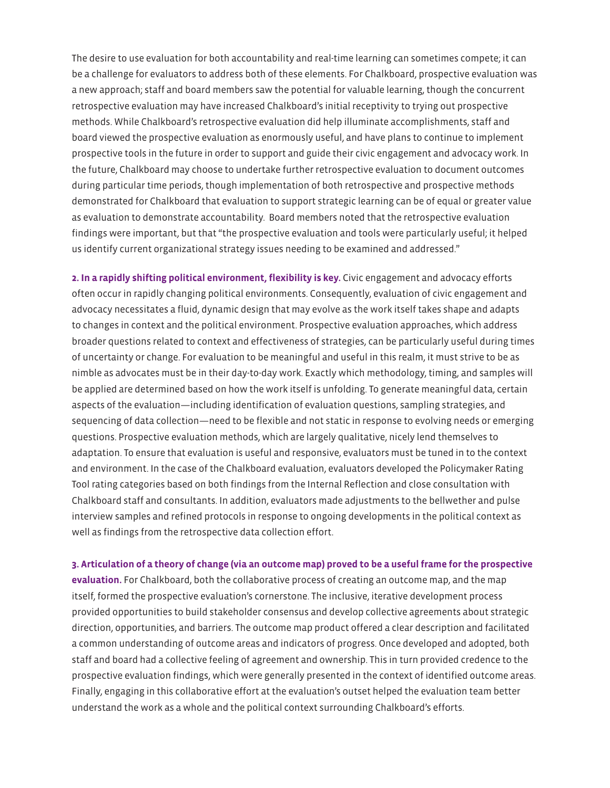The desire to use evaluation for both accountability and real-time learning can sometimes compete; it can be a challenge for evaluators to address both of these elements. For Chalkboard, prospective evaluation was a new approach; staff and board members saw the potential for valuable learning, though the concurrent retrospective evaluation may have increased Chalkboard's initial receptivity to trying out prospective methods. While Chalkboard's retrospective evaluation did help illuminate accomplishments, staff and board viewed the prospective evaluation as enormously useful, and have plans to continue to implement prospective tools in the future in order to support and guide their civic engagement and advocacy work. In the future, Chalkboard may choose to undertake further retrospective evaluation to document outcomes during particular time periods, though implementation of both retrospective and prospective methods demonstrated for Chalkboard that evaluation to support strategic learning can be of equal or greater value as evaluation to demonstrate accountability. Board members noted that the retrospective evaluation findings were important, but that "the prospective evaluation and tools were particularly useful; it helped us identify current organizational strategy issues needing to be examined and addressed."

**2. In a rapidly shifting political environment, flexibility is key.** Civic engagement and advocacy efforts often occur in rapidly changing political environments. Consequently, evaluation of civic engagement and advocacy necessitates a fluid, dynamic design that may evolve as the work itself takes shape and adapts to changes in context and the political environment. Prospective evaluation approaches, which address broader questions related to context and effectiveness of strategies, can be particularly useful during times of uncertainty or change. For evaluation to be meaningful and useful in this realm, it must strive to be as nimble as advocates must be in their day-to-day work. Exactly which methodology, timing, and samples will be applied are determined based on how the work itself is unfolding. To generate meaningful data, certain aspects of the evaluation—including identification of evaluation questions, sampling strategies, and sequencing of data collection—need to be flexible and not static in response to evolving needs or emerging questions. Prospective evaluation methods, which are largely qualitative, nicely lend themselves to adaptation. To ensure that evaluation is useful and responsive, evaluators must be tuned in to the context and environment. In the case of the Chalkboard evaluation, evaluators developed the Policymaker Rating Tool rating categories based on both findings from the Internal Reflection and close consultation with Chalkboard staff and consultants. In addition, evaluators made adjustments to the bellwether and pulse interview samples and refined protocols in response to ongoing developments in the political context as well as findings from the retrospective data collection effort.

**3. Articulation of a theory of change (via an outcome map) proved to be a useful frame for the prospective evaluation.** For Chalkboard, both the collaborative process of creating an outcome map, and the map itself, formed the prospective evaluation's cornerstone. The inclusive, iterative development process provided opportunities to build stakeholder consensus and develop collective agreements about strategic direction, opportunities, and barriers. The outcome map product offered a clear description and facilitated a common understanding of outcome areas and indicators of progress. Once developed and adopted, both staff and board had a collective feeling of agreement and ownership. This in turn provided credence to the prospective evaluation findings, which were generally presented in the context of identified outcome areas. Finally, engaging in this collaborative effort at the evaluation's outset helped the evaluation team better understand the work as a whole and the political context surrounding Chalkboard's efforts.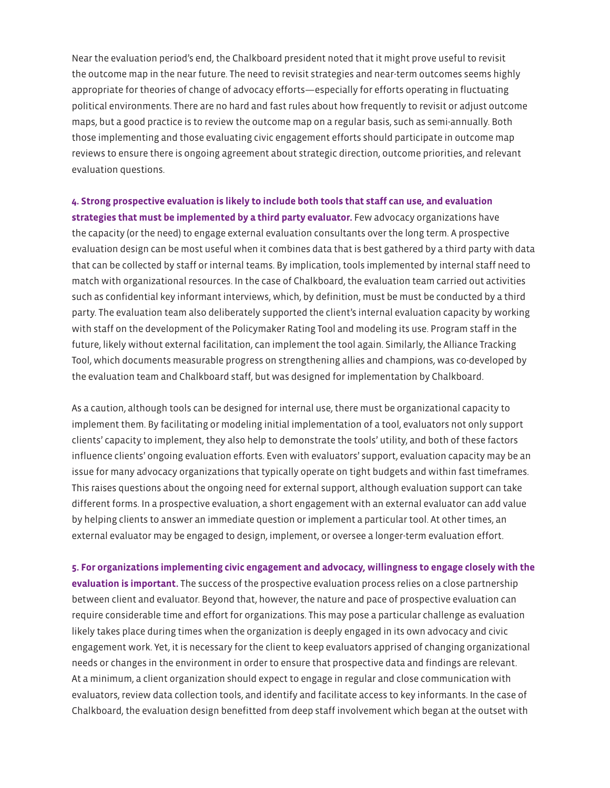Near the evaluation period's end, the Chalkboard president noted that it might prove useful to revisit the outcome map in the near future. The need to revisit strategies and near-term outcomes seems highly appropriate for theories of change of advocacy efforts—especially for efforts operating in fluctuating political environments. There are no hard and fast rules about how frequently to revisit or adjust outcome maps, but a good practice is to review the outcome map on a regular basis, such as semi-annually. Both those implementing and those evaluating civic engagement efforts should participate in outcome map reviews to ensure there is ongoing agreement about strategic direction, outcome priorities, and relevant evaluation questions.

## **4. Strong prospective evaluation is likely to include both tools that staff can use, and evaluation**

**strategies that must be implemented by a third party evaluator.** Few advocacy organizations have the capacity (or the need) to engage external evaluation consultants over the long term. A prospective evaluation design can be most useful when it combines data that is best gathered by a third party with data that can be collected by staff or internal teams. By implication, tools implemented by internal staff need to match with organizational resources. In the case of Chalkboard, the evaluation team carried out activities such as confidential key informant interviews, which, by definition, must be must be conducted by a third party. The evaluation team also deliberately supported the client's internal evaluation capacity by working with staff on the development of the Policymaker Rating Tool and modeling its use. Program staff in the future, likely without external facilitation, can implement the tool again. Similarly, the Alliance Tracking Tool, which documents measurable progress on strengthening allies and champions, was co-developed by the evaluation team and Chalkboard staff, but was designed for implementation by Chalkboard.

As a caution, although tools can be designed for internal use, there must be organizational capacity to implement them. By facilitating or modeling initial implementation of a tool, evaluators not only support clients' capacity to implement, they also help to demonstrate the tools' utility, and both of these factors influence clients' ongoing evaluation efforts. Even with evaluators' support, evaluation capacity may be an issue for many advocacy organizations that typically operate on tight budgets and within fast timeframes. This raises questions about the ongoing need for external support, although evaluation support can take different forms. In a prospective evaluation, a short engagement with an external evaluator can add value by helping clients to answer an immediate question or implement a particular tool. At other times, an external evaluator may be engaged to design, implement, or oversee a longer-term evaluation effort.

**5. For organizations implementing civic engagement and advocacy, willingness to engage closely with the evaluation is important.** The success of the prospective evaluation process relies on a close partnership between client and evaluator. Beyond that, however, the nature and pace of prospective evaluation can require considerable time and effort for organizations. This may pose a particular challenge as evaluation likely takes place during times when the organization is deeply engaged in its own advocacy and civic engagement work. Yet, it is necessary for the client to keep evaluators apprised of changing organizational needs or changes in the environment in order to ensure that prospective data and findings are relevant. At a minimum, a client organization should expect to engage in regular and close communication with evaluators, review data collection tools, and identify and facilitate access to key informants. In the case of Chalkboard, the evaluation design benefitted from deep staff involvement which began at the outset with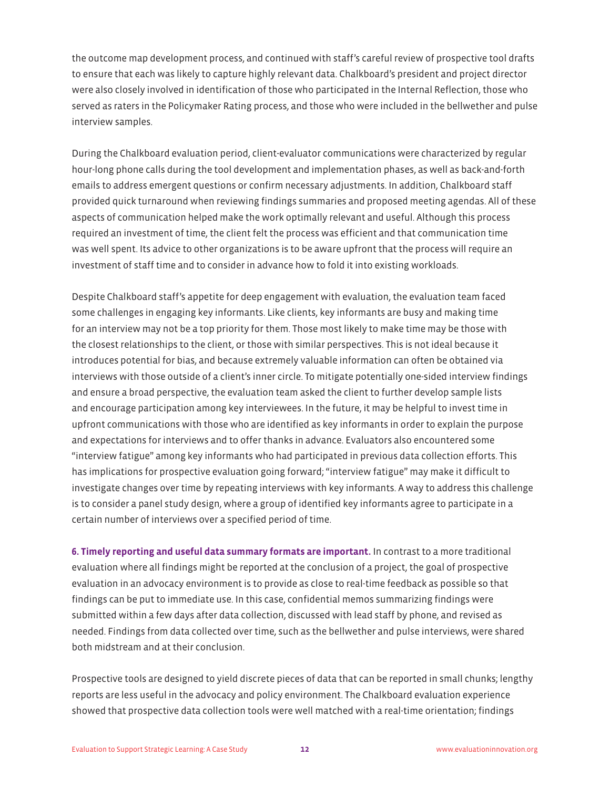the outcome map development process, and continued with staff's careful review of prospective tool drafts to ensure that each was likely to capture highly relevant data. Chalkboard's president and project director were also closely involved in identification of those who participated in the Internal Reflection, those who served as raters in the Policymaker Rating process, and those who were included in the bellwether and pulse interview samples.

During the Chalkboard evaluation period, client-evaluator communications were characterized by regular hour-long phone calls during the tool development and implementation phases, as well as back-and-forth emails to address emergent questions or confirm necessary adjustments. In addition, Chalkboard staff provided quick turnaround when reviewing findings summaries and proposed meeting agendas. All of these aspects of communication helped make the work optimally relevant and useful. Although this process required an investment of time, the client felt the process was efficient and that communication time was well spent. Its advice to other organizations is to be aware upfront that the process will require an investment of staff time and to consider in advance how to fold it into existing workloads.

Despite Chalkboard staff's appetite for deep engagement with evaluation, the evaluation team faced some challenges in engaging key informants. Like clients, key informants are busy and making time for an interview may not be a top priority for them. Those most likely to make time may be those with the closest relationships to the client, or those with similar perspectives. This is not ideal because it introduces potential for bias, and because extremely valuable information can often be obtained via interviews with those outside of a client's inner circle. To mitigate potentially one-sided interview findings and ensure a broad perspective, the evaluation team asked the client to further develop sample lists and encourage participation among key interviewees. In the future, it may be helpful to invest time in upfront communications with those who are identified as key informants in order to explain the purpose and expectations for interviews and to offer thanks in advance. Evaluators also encountered some "interview fatigue" among key informants who had participated in previous data collection efforts. This has implications for prospective evaluation going forward; "interview fatigue" may make it difficult to investigate changes over time by repeating interviews with key informants. A way to address this challenge is to consider a panel study design, where a group of identified key informants agree to participate in a certain number of interviews over a specified period of time.

**6. Timely reporting and useful data summary formats are important.** In contrast to a more traditional evaluation where all findings might be reported at the conclusion of a project, the goal of prospective evaluation in an advocacy environment is to provide as close to real-time feedback as possible so that findings can be put to immediate use. In this case, confidential memos summarizing findings were submitted within a few days after data collection, discussed with lead staff by phone, and revised as needed. Findings from data collected over time, such as the bellwether and pulse interviews, were shared both midstream and at their conclusion.

Prospective tools are designed to yield discrete pieces of data that can be reported in small chunks; lengthy reports are less useful in the advocacy and policy environment. The Chalkboard evaluation experience showed that prospective data collection tools were well matched with a real-time orientation; findings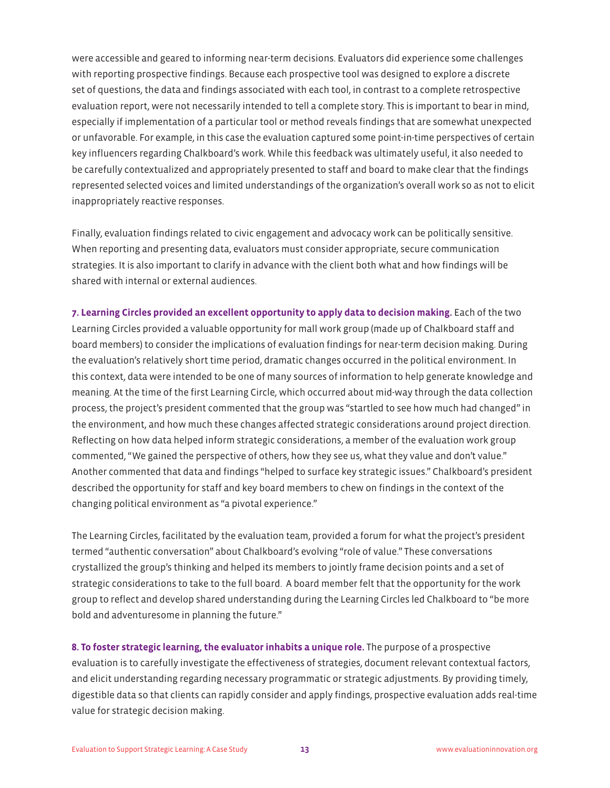were accessible and geared to informing near-term decisions. Evaluators did experience some challenges with reporting prospective findings. Because each prospective tool was designed to explore a discrete set of questions, the data and findings associated with each tool, in contrast to a complete retrospective evaluation report, were not necessarily intended to tell a complete story. This is important to bear in mind, especially if implementation of a particular tool or method reveals findings that are somewhat unexpected or unfavorable. For example, in this case the evaluation captured some point-in-time perspectives of certain key influencers regarding Chalkboard's work. While this feedback was ultimately useful, it also needed to be carefully contextualized and appropriately presented to staff and board to make clear that the findings represented selected voices and limited understandings of the organization's overall work so as not to elicit inappropriately reactive responses.

Finally, evaluation findings related to civic engagement and advocacy work can be politically sensitive. When reporting and presenting data, evaluators must consider appropriate, secure communication strategies. It is also important to clarify in advance with the client both what and how findings will be shared with internal or external audiences.

**7. Learning Circles provided an excellent opportunity to apply data to decision making.** Each of the two Learning Circles provided a valuable opportunity for mall work group (made up of Chalkboard staff and board members) to consider the implications of evaluation findings for near-term decision making. During the evaluation's relatively short time period, dramatic changes occurred in the political environment. In this context, data were intended to be one of many sources of information to help generate knowledge and meaning. At the time of the first Learning Circle, which occurred about mid-way through the data collection process, the project's president commented that the group was "startled to see how much had changed" in the environment, and how much these changes affected strategic considerations around project direction. Reflecting on how data helped inform strategic considerations, a member of the evaluation work group commented, "We gained the perspective of others, how they see us, what they value and don't value." Another commented that data and findings "helped to surface key strategic issues." Chalkboard's president described the opportunity for staff and key board members to chew on findings in the context of the changing political environment as "a pivotal experience."

The Learning Circles, facilitated by the evaluation team, provided a forum for what the project's president termed "authentic conversation" about Chalkboard's evolving "role of value." These conversations crystallized the group's thinking and helped its members to jointly frame decision points and a set of strategic considerations to take to the full board. A board member felt that the opportunity for the work group to reflect and develop shared understanding during the Learning Circles led Chalkboard to "be more bold and adventuresome in planning the future."

**8. To foster strategic learning, the evaluator inhabits a unique role.** The purpose of a prospective evaluation is to carefully investigate the effectiveness of strategies, document relevant contextual factors, and elicit understanding regarding necessary programmatic or strategic adjustments. By providing timely, digestible data so that clients can rapidly consider and apply findings, prospective evaluation adds real-time value for strategic decision making.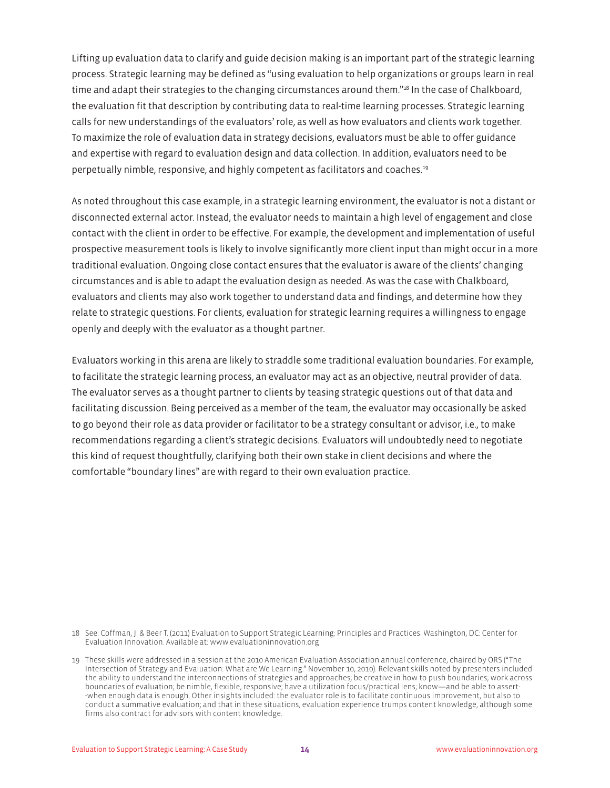Lifting up evaluation data to clarify and guide decision making is an important part of the strategic learning process. Strategic learning may be defined as "using evaluation to help organizations or groups learn in real time and adapt their strategies to the changing circumstances around them."<sup>18</sup> In the case of Chalkboard, the evaluation fit that description by contributing data to real-time learning processes. Strategic learning calls for new understandings of the evaluators' role, as well as how evaluators and clients work together. To maximize the role of evaluation data in strategy decisions, evaluators must be able to offer guidance and expertise with regard to evaluation design and data collection. In addition, evaluators need to be perpetually nimble, responsive, and highly competent as facilitators and coaches.19

As noted throughout this case example, in a strategic learning environment, the evaluator is not a distant or disconnected external actor. Instead, the evaluator needs to maintain a high level of engagement and close contact with the client in order to be effective. For example, the development and implementation of useful prospective measurement tools is likely to involve significantly more client input than might occur in a more traditional evaluation. Ongoing close contact ensures that the evaluator is aware of the clients' changing circumstances and is able to adapt the evaluation design as needed. As was the case with Chalkboard, evaluators and clients may also work together to understand data and findings, and determine how they relate to strategic questions. For clients, evaluation for strategic learning requires a willingness to engage openly and deeply with the evaluator as a thought partner.

Evaluators working in this arena are likely to straddle some traditional evaluation boundaries. For example, to facilitate the strategic learning process, an evaluator may act as an objective, neutral provider of data. The evaluator serves as a thought partner to clients by teasing strategic questions out of that data and facilitating discussion. Being perceived as a member of the team, the evaluator may occasionally be asked to go beyond their role as data provider or facilitator to be a strategy consultant or advisor, i.e., to make recommendations regarding a client's strategic decisions. Evaluators will undoubtedly need to negotiate this kind of request thoughtfully, clarifying both their own stake in client decisions and where the comfortable "boundary lines" are with regard to their own evaluation practice.

18 See: Coffman, J. & Beer T. (2011) Evaluation to Support Strategic Learning: Principles and Practices. Washington, DC: Center for Evaluation Innovation. Available at: www.evaluationinnovation.org

<sup>19</sup> These skills were addressed in a session at the 2010 American Evaluation Association annual conference, chaired by ORS ("The Intersection of Strategy and Evaluation: What are We Learning." November 10, 2010). Relevant skills noted by presenters included the ability to understand the interconnections of strategies and approaches; be creative in how to push boundaries; work across boundaries of evaluation; be nimble, flexible, responsive; have a utilization focus/practical lens; know—and be able to assert- -when enough data is enough. Other insights included: the evaluator role is to facilitate continuous improvement, but also to conduct a summative evaluation; and that in these situations, evaluation experience trumps content knowledge, although some firms also contract for advisors with content knowledge.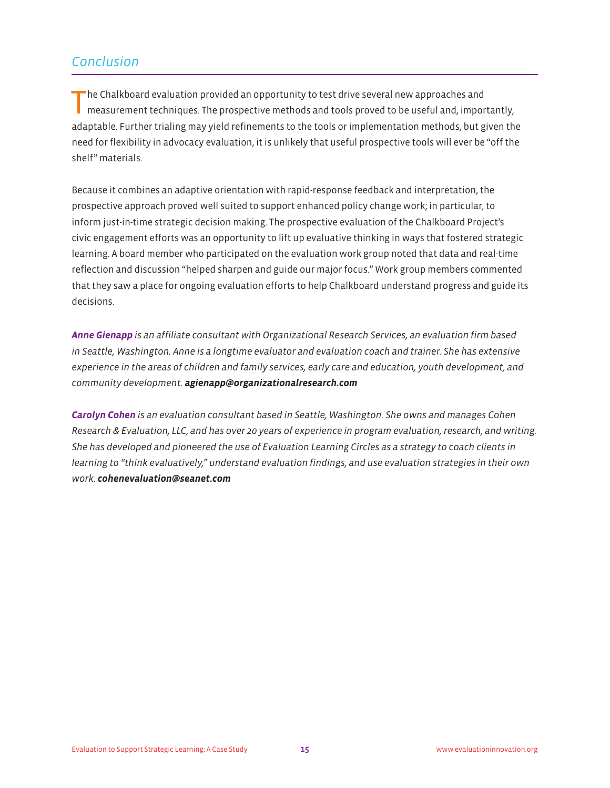## *Conclusion*

The Chalkboard evaluation provided an opportunity to test drive several new approaches and measurement techniques. The prospective methods and tools proved to be useful and, importantly, adaptable. Further trialing may yield refinements to the tools or implementation methods, but given the need for flexibility in advocacy evaluation, it is unlikely that useful prospective tools will ever be "off the shelf" materials.

Because it combines an adaptive orientation with rapid-response feedback and interpretation, the prospective approach proved well suited to support enhanced policy change work; in particular, to inform just-in-time strategic decision making. The prospective evaluation of the Chalkboard Project's civic engagement efforts was an opportunity to lift up evaluative thinking in ways that fostered strategic learning. A board member who participated on the evaluation work group noted that data and real-time reflection and discussion "helped sharpen and guide our major focus." Work group members commented that they saw a place for ongoing evaluation efforts to help Chalkboard understand progress and guide its decisions.

*Anne Gienapp is an affiliate consultant with Organizational Research Services, an evaluation firm based in Seattle, Washington. Anne is a longtime evaluator and evaluation coach and trainer. She has extensive experience in the areas of children and family services, early care and education, youth development, and community development. agienapp@organizationalresearch.com*

*Carolyn Cohen is an evaluation consultant based in Seattle, Washington. She owns and manages Cohen Research & Evaluation, LLC, and has over 20 years of experience in program evaluation, research, and writing. She has developed and pioneered the use of Evaluation Learning Circles as a strategy to coach clients in learning to "think evaluatively," understand evaluation findings, and use evaluation strategies in their own work. cohenevaluation@seanet.com*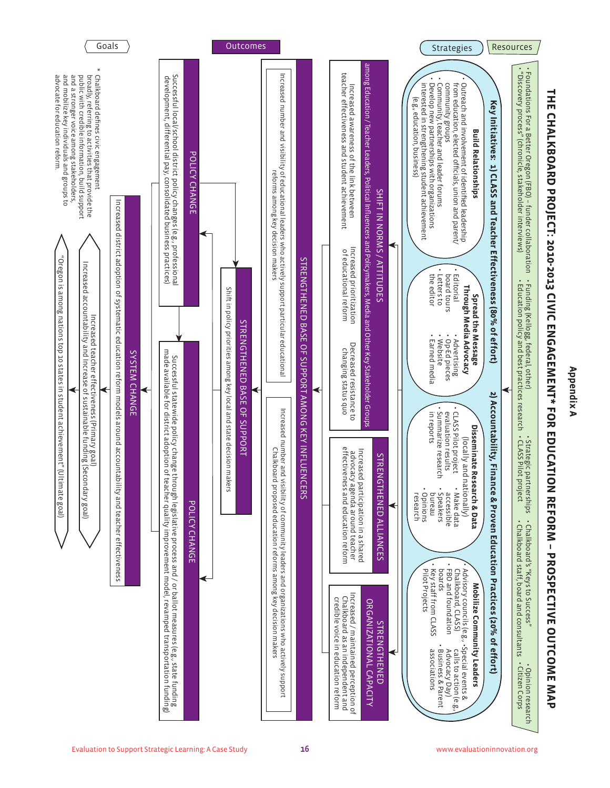